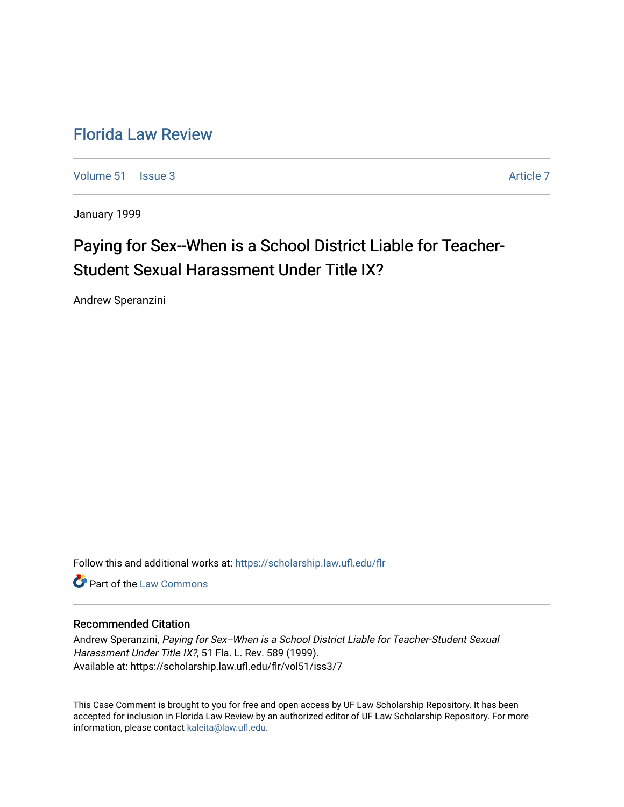## [Florida Law Review](https://scholarship.law.ufl.edu/flr)

[Volume 51](https://scholarship.law.ufl.edu/flr/vol51) | [Issue 3](https://scholarship.law.ufl.edu/flr/vol51/iss3) Article 7

January 1999

# Paying for Sex--When is a School District Liable for Teacher-Student Sexual Harassment Under Title IX?

Andrew Speranzini

Follow this and additional works at: [https://scholarship.law.ufl.edu/flr](https://scholarship.law.ufl.edu/flr?utm_source=scholarship.law.ufl.edu%2Fflr%2Fvol51%2Fiss3%2F7&utm_medium=PDF&utm_campaign=PDFCoverPages)

**C** Part of the [Law Commons](http://network.bepress.com/hgg/discipline/578?utm_source=scholarship.law.ufl.edu%2Fflr%2Fvol51%2Fiss3%2F7&utm_medium=PDF&utm_campaign=PDFCoverPages)

## Recommended Citation

Andrew Speranzini, Paying for Sex--When is a School District Liable for Teacher-Student Sexual Harassment Under Title IX?, 51 Fla. L. Rev. 589 (1999). Available at: https://scholarship.law.ufl.edu/flr/vol51/iss3/7

This Case Comment is brought to you for free and open access by UF Law Scholarship Repository. It has been accepted for inclusion in Florida Law Review by an authorized editor of UF Law Scholarship Repository. For more information, please contact [kaleita@law.ufl.edu.](mailto:kaleita@law.ufl.edu)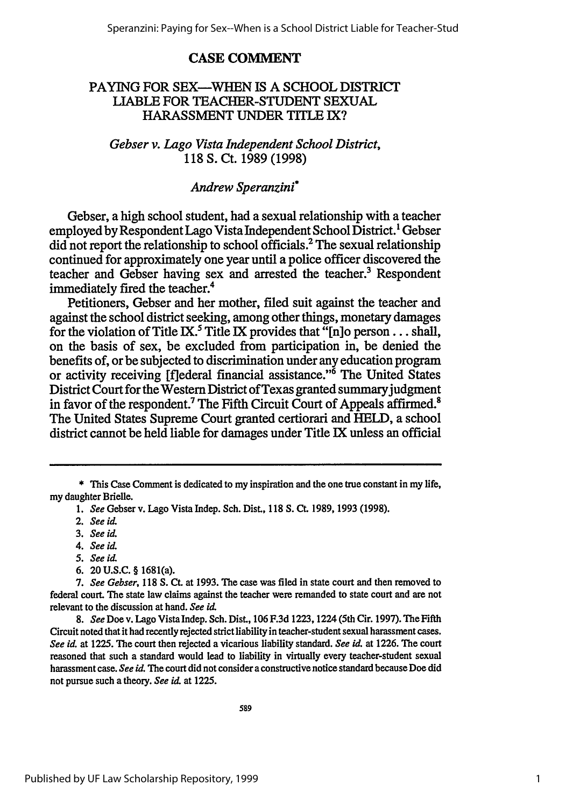### **CASE COMMENT**

## PAYING FOR **SEX-WHEN IS** A **SCHOOL** DISTRICT LIABLE FOR **TEACHER-STUDENT SEXUAL HARASSMENT UNDER TITLE** IX?

*Gebser v. Lago Vista Independent School District,* **118 S.** Ct. **1989 (1998)**

## *Andrew Speranzini\**

Gebser, a high school student, had a sexual relationship with a teacher employed by Respondent Lago Vista Independent School District.' Gebser did not report the relationship to school officials.2 The sexual relationship continued for approximately one year until a police officer discovered the teacher and Gebser having sex and arrested the teacher.' Respondent immediately fired the teacher.<sup>4</sup>

Petitioners, Gebser and her mother, filed suit against the teacher and against the school district seeking, among other things, monetary damages for the violation of Title IX.<sup>5</sup> Title IX provides that "[n]o person... shall, on the basis of sex, be excluded from participation in, be denied the benefits of, or be subjected to discrimination under any education program or activity receiving [fiederal financial assistance."6 The United States District Court for the Western District of Texas granted summary judgment in favor of the respondent.<sup>7</sup> The Fifth Circuit Court of Appeals affirmed.<sup>8</sup> The United States Supreme Court granted certiorari and **HELD,** a school district cannot be held liable for damages under Title IX unless an official

- *4. See id.*
- *5. See* **id.**
- 6. 20 **U.S.C.** § 1681(a).

**<sup>\*</sup>** This Case Comment is dedicated to my inspiration and the one true constant in my life, my daughter Brielle.

*<sup>1.</sup> See* Gebser v. Lago Vista Indep. Sch. Dist., **118 S. Ct. 1989, 1993 (1998).**

<sup>2.</sup> *See id.*

**<sup>3.</sup>** *See* **id.**

*<sup>7.</sup> See Gebser,* **118 S. CL** at **1993.** The case was filed in state court and then removed to federal court. The state law claims against the teacher were remanded to state court and are not relevant to the discussion at hand. *See* **id**

**<sup>8.</sup>** *See* Doe v. Lago Vista Indep. Sch. Dist., **106 F.3d** 1223,1224 (5th Cir. **1997).** The Fifth Circuit noted that it had recently rejected strict liability in teacher-student sexual harassment cases. *See id.* at **1225.** The court then rejected a vicarious liability standard. *See id* at **1226.** The court reasoned that such a standard would lead to liability in virtually every teacher-student sexual harassment case. *See* **id.** The court did not consider a constructive notice standard because Doe did not pursue such a theory. *See* **id** at **1225.**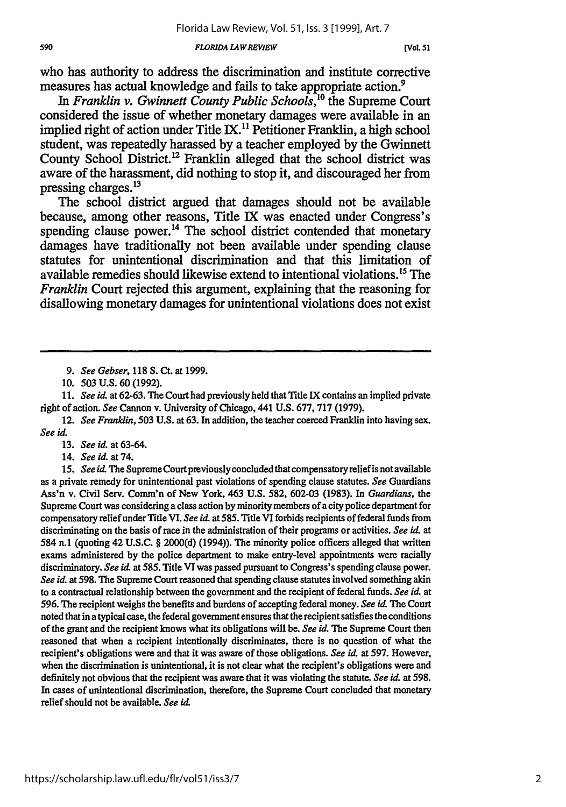#### *FLORIDA LAWREVIEW*

who has authority to address the discrimination and institute corrective measures has actual knowledge and fails to take appropriate action.<sup>9</sup>

In Franklin v. Gwinnett County Public Schools,<sup>10</sup> the Supreme Court considered the issue of whether monetary damages were available in an implied right of action under Title IX.<sup>11</sup> Petitioner Franklin, a high school student, was repeatedly harassed **by** a teacher employed **by** the Gwinnett County School District."2 Franklin alleged that the school district was aware of the harassment, did nothing to stop it, and discouraged her from pressing charges.<sup>13</sup>

The school district argued that damages should not be available because, among other reasons, Title IX was enacted under Congress's spending clause power.<sup>14</sup> The school district contended that monetary damages have traditionally not been available under spending clause statutes for unintentional discrimination and that this limitation of available remedies should likewise extend to intentional violations.<sup>15</sup> The *Franklin* Court rejected this argument, explaining that the reasoning for disallowing monetary damages for unintentional violations does not exist

*11. See id.* at **62-63.** The Court had previously held that Title IX contains an implied private right of action. *See* Cannon v. University of Chicago, 441 U.S. 677, 717 (1979).

12. *See Franklin,* 503 U.S. at 63. In addition, the teacher coerced Franklin into having sex. *See id.*

13. *See id.* at **63-64.**

14. *See id.* at 74.

15. *See id. The* Supreme Court previously concluded that compensatory relief is not available as a private remedy for unintentional past violations of spending clause statutes. *See* Guardians Ass'n v. Civil Serv. Comm'n of New York, 463 U.S. 582, 602-03 (1983). In *Guardians, the* Supreme Court was considering a class action by minority members of a city police department for compensatory relief under Title VI. *See id.* at **585.** Title VI forbids recipients of federal funds from discriminating on the basis of race in the administration of their programs or activities. *See id.* at 584 n.1 (quoting 42 U.S.C. § 2000(d) (1994)). The minority police officers alleged that written exams administered by the police department to make entry-level appointments were racially discriminatory. *See id.* at 585. Title VI was passed pursuant to Congress's spending clause power. *See id.* at 598. The Supreme Court reasoned that spending clause statutes involved something akin to a contractual relationship between the government and the recipient of federal funds. *See id.* at **596.** The recipient weighs the benefits and burdens of accepting federal money. *See id.* The Court noted that in a typical case, the federal government ensures that the recipient satisfies the conditions of the grant and the recipient knows what its obligations will be. *See id.* The Supreme Court then reasoned that when a recipient intentionally discriminates, there is no question of what the recipient's obligations were and that it was aware of those obligations. *See id.* at 597. However, when the discrimination is unintentional, it is not clear what the recipient's obligations were and definitely not obvious that the recipient was aware that it was violating the statute. *See id.* at 598. In cases of unintentional discrimination, therefore, the Supreme Court concluded that monetary relief should not be available. *See id.*

*<sup>9.</sup> See Gebser,* 118 **S.** Ct. at 1999.

<sup>10. 503</sup> U.S. 60 (1992).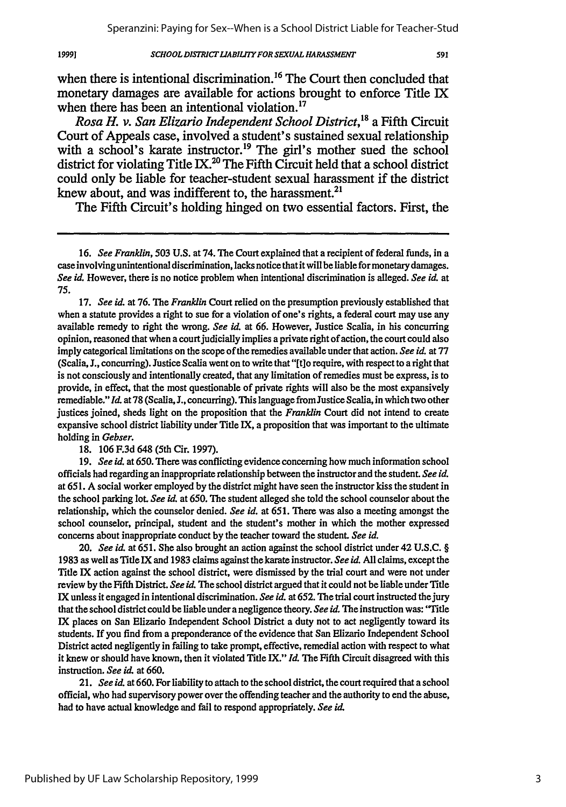#### *SCHOOL DISTRICTLIABILITY FOR SEXUAL HARASSMENT*

when there is intentional discrimination.<sup>16</sup> The Court then concluded that monetary damages are available for actions brought to enforce Title IX when there has been an intentional violation.<sup>17</sup>

*Rosa H. v. San Elizario Independent School District,"'* a Fifth Circuit Court of Appeals case, involved a student's sustained sexual relationship with a school's karate instructor.<sup>19</sup> The girl's mother sued the school district for violating Title IX.<sup>20</sup> The Fifth Circuit held that a school district could only be liable for teacher-student sexual harassment if the district knew about, and was indifferent to, the harassment. $^{21}$ 

The Fifth Circuit's holding hinged on two essential factors. First, the

17. *See id.* at 76. The *Franklin* Court relied on the presumption previously established that when a statute provides a right to sue for a violation of one's rights, a federal court may use any available remedy to right the wrong. *See* **id.** at 66. However, Justice Scalia, in his concurring opinion, reasoned that when a court judicially implies a private right of action, the court could also imply categorical limitations on the scope of the remedies available under that action. *See id.* at 77 (Scalia, J., concurring). Justice Scalia went on to write that "[t]o require, with respect to a right that is not consciously and intentionally created, that any limitation of remedies must be express, is to provide, in effect, that the most questionable of private rights will also be the most expansively remediable." **Ld.** at **78** (Scalia, J., concurring). This language from Justice Scalia, in which two other justices joined, sheds light on the proposition that the *Franklin* Court did not intend to create expansive school district liability under Title IX, a proposition that was important to the ultimate holding in *Gebser.*

18. 106 F.3d 648 (5th Cir. 1997).

**1999]**

19. *See* id. at *650.* There was conflicting evidence concerning how much information school officials had regarding an inappropriate relationship between the instructor and the student. *See id.* at 65 **1.** A social worker employed by the district might have seen the instructor kiss the student in the school parking lot. *See* **id.** at **650.** The student alleged she told the school counselor about the relationship, which the counselor denied. *See id.* at 651. There was also a meeting amongst the school counselor, principal, student and the student's mother in which the mother expressed concerns about inappropriate conduct by the teacher toward the student. *See id.*

20. *See id.* at 651. She also brought an action against the school district under 42 U.S.C. § 1983 as well as TitleIX and 1983 claims against the karate instructor. *See id.* All claims, except the Title IX action against the school district, were dismissed by the trial court and were not under review **by** the Fifth District. *See id.* The school district argued that it could not be liable under Title IX unless it engaged in intentional discrimination. *See id.* at 652. The trial court instructed the jury that the school district could be liable under a negligence theory. *See id.* The instruction was: 'Title IX places on San Elizario Independent School District a duty not to act negligently toward its students. If you find from a preponderance of the evidence that San Elizario Independent School District acted negligently in failing to take prompt, effective, remedial action with respect to what it knew or should have known, then it violated Title IX." *Id.* The Fifth Circuit disagreed with this instruction. *See id.* at 660.

21. *See id.* at 660. For liability to attach to the school district, the court required that a school official, who had supervisory power over the offending teacher and the authority to end the abuse, had to have actual knowledge and fail to respond appropriately. See id.

<sup>16.</sup> *See Franklin,* **503** U.S. at 74. The Court explained that a recipient of federal funds, in a caseinvolving unintentional discrimination, lacks notice that it will be liable for monetary damages. *See id.* However, there is no notice problem when intentional discrimination is alleged. *See id.* at **75.**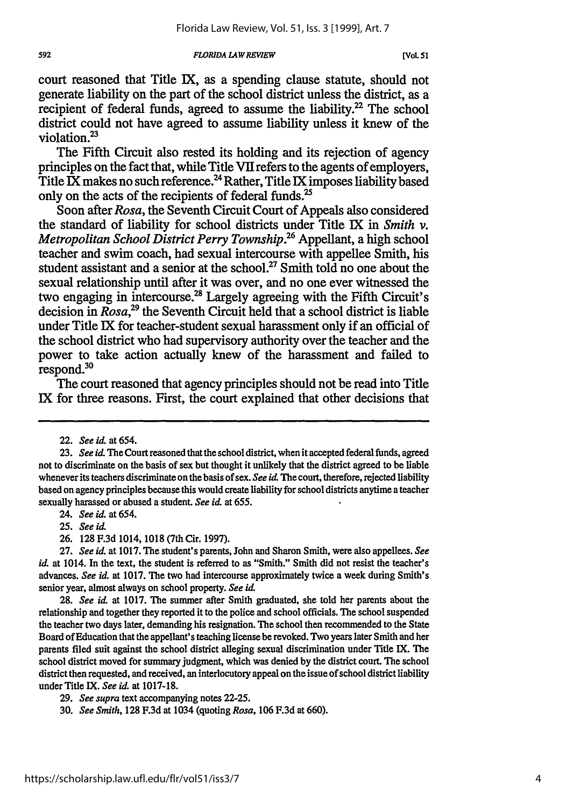*FLORIDA LAWREVIEW 592* **[V€OL 51**

court reasoned that Title IX, as a spending clause statute, should not generate liability on the part of the school district unless the district, as a recipient of federal funds, agreed to assume the liability.<sup>22</sup> The school district could not have agreed to assume liability unless it knew of the violation. $^{23}$ 

The Fifth Circuit also rested its holding and its rejection of agency principles on the fact that, while Title VII refers to the agents of employers, Title IX makes no such reference.<sup>24</sup> Rather, Title IX imposes liability based only on the acts of the recipients of federal funds.<sup>25</sup>

Soon after *Rosa,* the Seventh Circuit Court of Appeals also considered the standard of liability for school districts under Title IX in *Smith v. Metropolitan School District Perry Township.26* Appellant, a high school teacher and swim coach, had sexual intercourse with appellee Smith, his student assistant and a senior at the school.<sup>27</sup> Smith told no one about the sexual relationship until after it was over, and no one ever witnessed the two engaging in intercourse.<sup>28</sup> Largely agreeing with the Fifth Circuit's decision in *Rosa,29* the Seventh Circuit held that a school district is liable under Title IX for teacher-student sexual harassment only if an official of the school district who had supervisory authority over the teacher and the power to take action actually knew of the harassment and failed to respond.<sup>30</sup>

The court reasoned that agency principles should not be read into Title IX for three reasons. First, the court explained that other decisions that

<sup>22.</sup> *See ad* at 654.

**<sup>23.</sup>** *See id* The Court reasoned that the school district, when it accepted federal funds, agreed not to discriminate on the basis of sex but thought it unlikely that the district agreed to be liable whenever its teachers discriminate on the basis of sex. *See id*. The court, therefore, rejected liability based on agency principles because this would create liability for school districts anytime a teacher sexually harassed or abused a student. *See id.* at 655.

*<sup>24.</sup> See id.* at 654.

**<sup>25.</sup>** *See id.*

**<sup>26.</sup>** 128 F.3d 1014, 1018 (7th Cir. 1997).

**<sup>27.</sup>** *See id.* at **1017.** The student's parents, John and Sharon Smith, were also appellees. *See id.* at 1014. In the text, the student is referred to as "Smith." Smith did not resist the teacher's advances. *See id.* at 1017. The two had intercourse approximately twice a week during Smith's senior year, almost always on school property. *See id.*

**<sup>28.</sup>** *See id* at 1017. The summer after Smith graduated, she told her parents about the relationship and together they reported it to the police and school officials. The school suspended the teacher two days later, demanding his resignation. The school then recommended to the State Board of Education that the appellant's teaching license be revoked. Two years later Smith and her parents filed suit against the school district alleging sexual discrimination under Title IX. The school district moved for summary judgment, which was denied by the district court. The school district then requested, and received, an interlocutory appeal on the issue of school district liability under Title IX. *See id.* at 1017-18.

**<sup>29.</sup>** *See supra* text accompanying notes 22-25.

<sup>30.</sup> *See Smith,* 128 F.3d at 1034 (quoting *Rosa,* 106 F.3d at 660).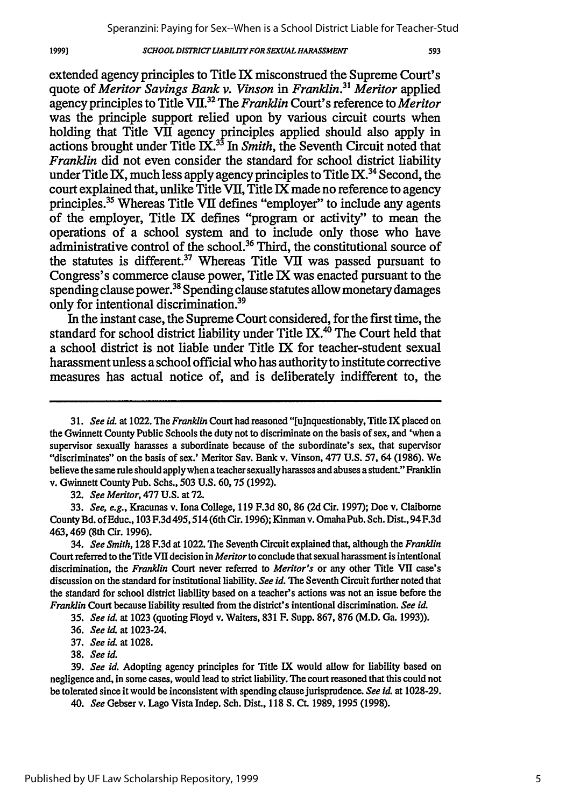#### *SCHOOL DISTRICT LIABILITY FOR SEXUAL HARASSMENT*

593

extended agency principles to Title IX misconstrued the Supreme Court's quote of *Meritor Savings Bank v. Vinson in Franklin." Meritor* applied agency principles to Title VII.32 The *Franklin* Court's reference to *Meritor* was the principle support relied upon by various circuit courts when holding that Title VII agency principles applied should also apply in actions brought under Title IX.33 In *Smith,* the Seventh Circuit noted that *Franklin* did not even consider the standard for school district liability under Title IX, much less apply agency principles to Title IX.<sup>34</sup> Second, the court explained that, unlike Title VII, Title IX made no reference to agency principles.<sup>35</sup> Whereas Title VII defines "employer" to include any agents of the employer, Title IX defines "program or activity" to mean the operations of a school system and to include only those who have administrative control of the school.36 Third, the constitutional source of the statutes is different.<sup>37</sup> Whereas Title VII was passed pursuant to Congress's commerce clause power, Title IX was enacted pursuant to the spending clause power.<sup>38</sup> Spending clause statutes allow monetary damages only for intentional discrimination.39

In the instant case, the Supreme Court considered, for the first time, the standard for school district liability under Title IX.<sup>40</sup> The Court held that a school district is not liable under Title IX for teacher-student sexual harassment unless a school official who has authority to institute corrective measures has actual notice of, and is deliberately indifferent to, the

32. *See Meritor,* 477 U.S. at 72.

33. *See, e.g.,* Kracunas v. Iona College, 119 F.3d 80, 86 (2d Cir. 1997); Doe v. Claiborne County Bd. of Educ., 103 F.3d495, 514 (6th Cir. 1996); Kinman v. OmahaPub. Sch. Dist., 94 F.3d 463,469 (8th Cir. 1996).

34. *See Smith,* 128 F.3d at 1022. The Seventh Circuit explained that, although the *Franklin* Court referred to the Title VII decision in *Meritor* to conclude that sexual harassment is intentional discrimination, the *Franklin* Court never referred to *Meritor's* or any other Title VII case's discussion on the standard for institutional liability. *See id.* The Seventh Circuit further noted that the standard for school district **liability** based on a teacher's actions was not an issue before the *Franklin* Court because liability resulted from the district's intentional discrimination. *See id*

35. *See id.* at 1023 (quoting Floyd v. Waiters, 831 F. Supp. 867, 876 (M.D. Ga. 1993)).

38. *See id.*

39. *See id.* Adopting agency principles for Title IX would allow for liability based on negligence and, in some cases, would lead to strict liability. The court reasoned that this could not be tolerated since it would be inconsistent with spending clause jurisprudence. *See id.* at 1028-29.

*40. See* Gebser v. Lago Vista Indep. Sch. Dist., 118 *S.* Ct. 1989, 1995 (1998).

*<sup>3 1.</sup> See id.* at 1022. The *Franklin* Court had reasoned "[u]nquestionably, Title IX placed on the Gwinnett County Public Schools the duty not to discriminate on the basis of sex, and 'when a supervisor sexually harasses a subordinate because of the subordinate's sex, that supervisor "discriminates" on the basis of sex.' Meritor Say. Bank v. Vinson, 477 U.S. 57, 64 (1986). We believe the same rule should apply when a teacher sexually harasses and abuses a student." Franklin v. Gwinnett County Pub. Schs., 503 U.S. 60,75 (1992).

<sup>36.</sup> *See id.* at 1023-24.

<sup>37.</sup> *See id.* at 1028.

<sup>19991</sup>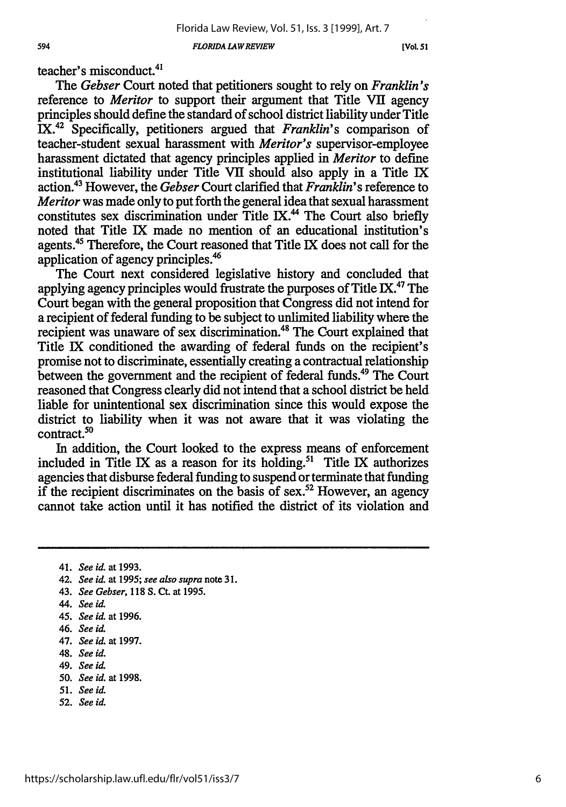*FLORIDA LAW REVIEW*

**[Vol.** *51I*

teacher's misconduct.4'

*The Gebser* Court noted that petitioners sought to rely on *Franklin's* reference to *Meritor* to support their argument that Title VII agency principles should define the standard of school district liability under Title IX.42 Specifically, petitioners argued that *Franklin's* comparison of teacher-student sexual harassment with *Meritor's* supervisor-employee harassment dictated that agency principles applied in *Meritor* to define institutional liability under Title VII should also apply in a Title IX action.43 However, the *Gebser* Court clarified that *Franklin's* reference to *Meritor* was made only to put forth the general idea that sexual harassment constitutes sex discrimination under Title IX.<sup>44</sup> The Court also briefly noted that Title IX made no mention of an educational institution's agents.<sup>45</sup> Therefore, the Court reasoned that Title IX does not call for the application of agency principles.46

The Court next considered legislative history and concluded that applying agency principles would frustrate the purposes of Title IX.<sup>47</sup> The Court began with the general proposition that Congress did not intend for a recipient of federal funding to be subject to unlimited liability where the recipient was unaware of sex discrimination.<sup>48</sup> The Court explained that Title IX conditioned the awarding of federal funds on the recipient's promise not to discriminate, essentially creating a contractual relationship between the government and the recipient of federal funds.<sup>49</sup> The Court reasoned that Congress clearly did not intend that a school district be held liable for unintentional sex discrimination since this would expose the district to liability when it was not aware that it was violating the  $control<sub>50</sub>$ 

In addition, the Court looked to the express means of enforcement included in Title IX as a reason for its holding.<sup>51</sup> Title IX authorizes agencies that disburse federal funding to suspend or terminate that funding if the recipient discriminates on the basis of sex.<sup>52</sup> However, an agency cannot take action until it has notified the district of its violation and

- 42. *See id.* at **1995;** *see also supra* note **31.**
- 43. *See Gebser,* **118 S. Ct.** at **1995.**
- 44. *See id*
- 45. *See id.* at **1996.**
- 46. *See id*
- 47. *See id.* at **1997.**
- 48. *See id.*
- 49. *See id.*
- *50. See id.* at **1998.**
- **51.** *See id.*
- **52.** *See id.*

<sup>41.</sup> *See id.* at **1993.**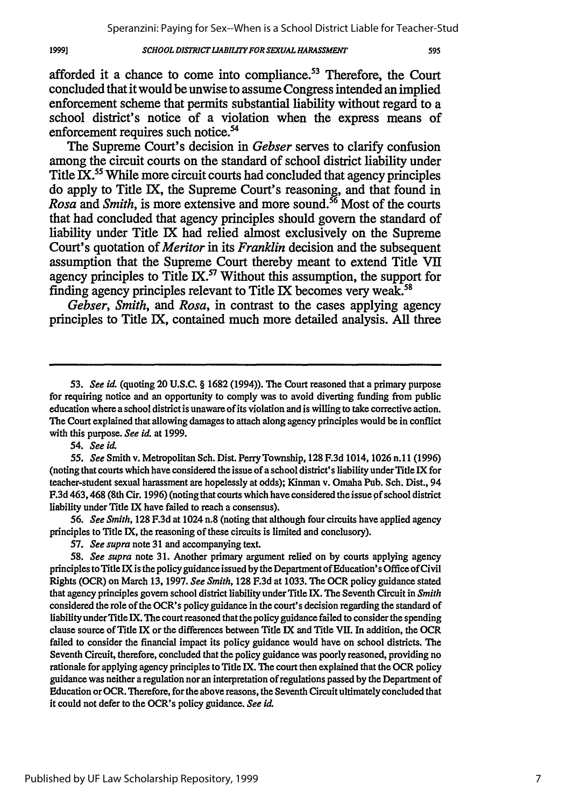#### *SCHOOL DISTRICT LIABILITY FOR SEXUAL HARASSMENT*

595

afforded it a chance to come into compliance.<sup>53</sup> Therefore, the Court concluded that it would be unwise to assume Congress intended an implied enforcement scheme that permits substantial liability without regard to a school district's notice of a violation when the express means of enforcement requires such notice.<sup>54</sup>

The Supreme Court's decision in *Gebser* serves to clarify confusion among the circuit courts on the standard of school district liability under Title IX.<sup>55</sup> While more circuit courts had concluded that agency principles do apply to Title IX, the Supreme Court's reasoning, and that found in *Rosa* and *Smith*, is more extensive and more sound.<sup>56</sup> Most of the courts that had concluded that agency principles should govern the standard of liability under Title IX had relied almost exclusively on the Supreme Court's quotation of *Meritor* in its *Franklin* decision and the subsequent assumption that the Supreme Court thereby meant to extend Title **VII** agency principles to Title IX.<sup>57</sup> Without this assumption, the support for finding agency principles relevant to Title IX becomes very weak.<sup>58</sup>

*Gebser, Smith, and Rosa,* in contrast to the cases applying agency principles to Title IX, contained much more detailed analysis. **All** three

54. *See id.*

1999]

*56. See Smith,* **128** F.3d at 1024 n.8 (noting that although four circuits have applied agency principles to Title IX, the reasoning of these circuits is limited and conclusory).

*57. See supra* note 31 and accompanying text.

58. *See supra* note 31. Another primary argument relied on by courts applying agency principles to Title IX is the policy guidance issued by the Department of Education's Office of Civil Rights (OCR) on March 13, 1997. *See Smith,* **128** F.3d at 1033. The OCR policy guidance stated that agency principles govern school district liability under Title IX. The Seventh Circuit in *Smith* considered the role of the OCR's policy guidance in the court's decision regarding the standard of liability under Title IX. The court reasoned that the policy guidance failed to consider the spending clause source of Title IX or the differences between Title IX and Title VII. In addition, the OCR failed to consider the financial impact its policy guidance would have on school districts. The Seventh Circuit, therefore, concluded that the policy guidance was poorly reasoned, providing no rationale for applying agency principles to Title IX. The court then explained that the OCR policy guidance was neither a regulation nor an interpretation of regulations passed by the Department of Education or OCR. Therefore, for the above reasons, the Seventh Circuit ultimately concluded that it could not defer to the OCR's policy guidance. *See id.*

*<sup>53.</sup> See id.* (quoting 20 U.S.C. § 1682 (1994)). The Court reasoned that a primary purpose for requiring notice and an opportunity to comply was to avoid diverting funding from public education where a school district is unaware of its violation and is willing to take corrective action. The Court explained that allowing damages to attach along agency principles would be in conflict with this purpose. *See it.* at 1999.

*<sup>55.</sup> See* Smith v. Metropolitan Sch. Dist. Perry Township, **128** F.3d 1014, 1026 n.11 (1996) (noting that courts which have considered the issue of a school district's liability under Title IX for teacher-student sexual harassment are hopelessly at odds); Kinman v. Omaha Pub. Sch. Dist., 94 F.3d 463,468 (8th Cir. 1996) (noting that courts which have considered theissue **of** school district liability under Title IX have failed to reach a consensus).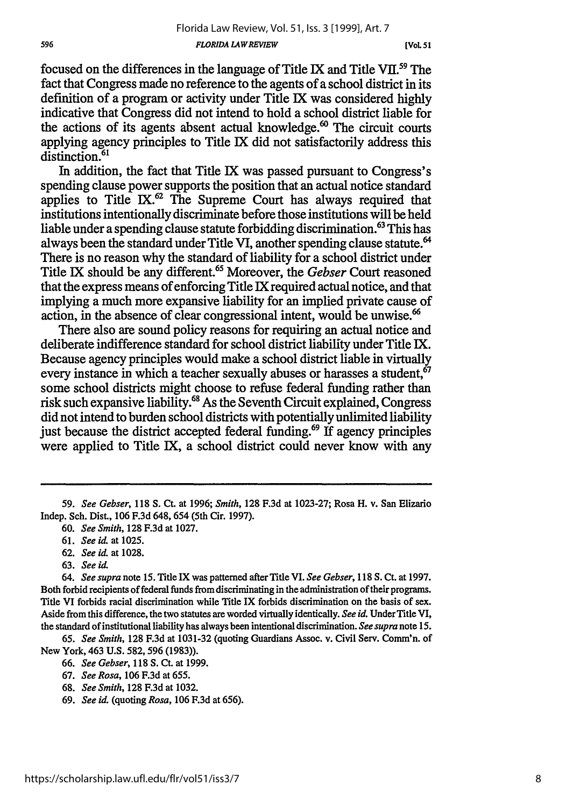**[VOL** *51*

focused on the differences in the language of Title IX and Title **VII.59** The fact that Congress made no reference to the agents of a school district in its definition of a program or activity under Title IX was considered highly indicative that Congress did not intend to hold a school district liable for the actions of its agents absent actual knowledge.<sup>60</sup> The circuit courts applying agency principles to Title IX did not satisfactorily address this distinction.<sup>61</sup>

In addition, the fact that Title IX was passed pursuant to Congress's spending clause power supports the position that an actual notice standard applies to Title IX. $^{62}$  The Supreme Court has always required that institutions intentionally discriminate before those institutions will be held liable under a spending clause statute forbidding discrimination. 63 This has always been the standard under Title VI, another spending clause statute.' There is no reason why the standard of liability for a school district under Title IX should be any different. 65 Moreover, the *Gebser* Court reasoned that the express means of enforcing Title IX required actual notice, and that implying a much more expansive liability for an implied private cause of action, in the absence of clear congressional intent, would be unwise.<sup>66</sup>

There also are sound policy reasons for requiring an actual notice and deliberate indifference standard for school district liability under Title IX. Because agency principles would make a school district liable in virtually every instance in which a teacher sexually abuses or harasses a student, $67$ some school districts might choose to refuse federal funding rather than risk such expansive liability.<sup>68</sup> As the Seventh Circuit explained, Congress did not intend to burden school districts with potentially unlimited liability just because the district accepted federal funding. $69$  If agency principles were applied to Title IX, a school district could never know with any

- **62.** *See id.* at 1028.
- 63. *See id.*

65. *See Smith,* **128** F.3d at 1031-32 (quoting Guardians Assoc. v. Civil Serv. Comm'n. of New York, 463 U.S. 582, **596** (1983)).

- 66. *See Gebser,* 118 S. Ct. at 1999.
- 67. *See Rosa,* 106 F.3d at 655.
- 68. *See Smith,* **128** F.3d at 1032.
- 69. *See id.* (quoting *Rosa,* 106 F.3d at **656).**

<sup>59.</sup> *See Gebser, 118* **S.** Ct. at 1996; *Smith,* **128** F.3d at 1023-27; Rosa H. v. San Elizario Indep. Sch. Dist., 106 F.3d 648, 654 (5th Cir. 1997).

<sup>60.</sup> *See Smith,* **128** F.3d at 1027.

<sup>61.</sup> *See id.* at 1025.

*<sup>64.</sup> See supra* note **15.** Title IX was patterned after Title VI. *See Gebser,* 118 S. Ct. at 1997. Both forbid recipients of federal funds from discriminating in the administration of their programs. Title VI forbids racial discrimination while Title IX forbids discrimination on the basis of sex. Aside from this difference, the two statutes areworded virtually identically. *See id.* UnderTitle VI, the standard of institutional liability has always been intentional discrimination. *See supra* note 15.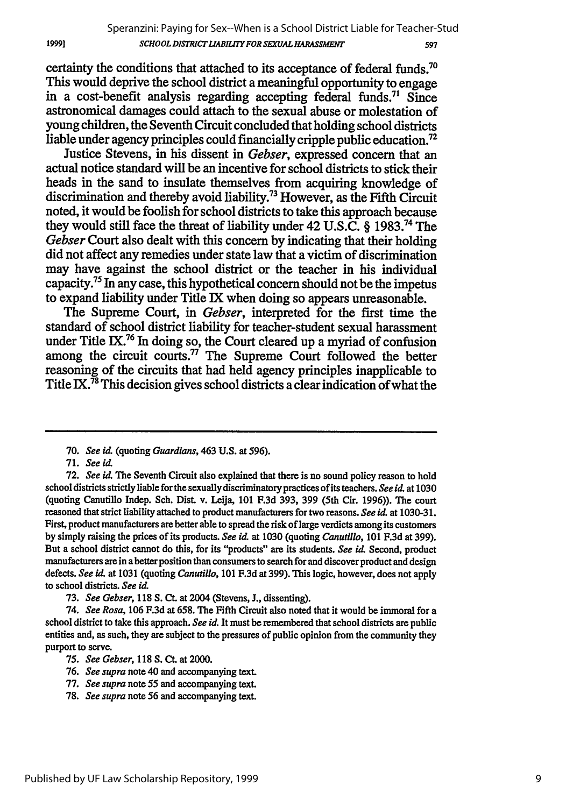certainty the conditions that attached to its acceptance of federal funds.<sup>70</sup> This would deprive the school district a meaningful opportunity to engage in a cost-benefit analysis regarding accepting federal funds.<sup>71</sup> Since astronomical damages could attach to the sexual abuse or molestation of young children, the Seventh Circuit concluded that holding school districts liable under agency principles could financially cripple public education.<sup>72</sup>

Justice Stevens, in his dissent in *Gebser,* expressed concern that an actual notice standard will be an incentive for school districts to stick their heads in the sand to insulate themselves from acquiring knowledge of discrimination and thereby avoid liability.<sup>73</sup> However, as the Fifth Circuit noted, it would be foolish for school districts to take this approach because they would still face the threat of liability under 42 U.S.C. § 1983.<sup>74</sup> The *Gebser* Court also dealt with this concern **by** indicating that their holding did not affect any remedies under state law that a victim of discrimination may have against the school district or the teacher in his individual capacity.75 In any case, this hypothetical concern should not be the impetus to expand liability under Title **IX** when doing so appears unreasonable.

The Supreme Court, in *Gebser,* interpreted for the first time the standard of school district liability for teacher-student sexual harassment under Title IX.<sup>76</sup> In doing so, the Court cleared up a myriad of confusion among the circuit courts. $\overline{7}$  The Supreme Court followed the better reasoning of the circuits that had held agency principles inapplicable to Title **IX.<sup>78</sup>** This decision gives school districts a clear indication of what the

<sup>70.</sup> *See id.* (quoting *Guardians,* 463 **U.S.** at 596).

<sup>71.</sup> *See id.*

**<sup>72.</sup>** *See id* The Seventh Circuit also explained that there is no sound policy reason to hold schooldistricts strictly liable for the sexually discriminatory practices of its teachers. *See id.* at 1030 (quoting Canutillo Indep. Sch. Dist. v. Leija, 101 F.3d 393, 399 (5th Cir. 1996)). The court reasoned that strict liability attached to product manufacturers for two reasons. *See id.* at 1030-31. First, product manufacturers are better able to spread the risk of large verdicts among its customers **by** simply raising the prices of its products. *See id.* at **1030** (quoting *Canutillo,* 101 F.3d at 399). But a school district cannot do this, for its "products" are its students. *See id.* Second, product manufacturers are in a better position than consumers to search for and discover product and design defects. *See id.* at 1031 (quoting *Canutillo,* 101 F.3d at 399). This logic, however, does not apply to school districts. *See id.*

**<sup>73.</sup>** *See Gebser,* 118 **S.** Ct. at 2004 (Stevens, J., dissenting).

<sup>74.</sup> *See Rosa,* 106 F.3d at 658. The Fifth Circuit also noted that it would be immoral for a school district to take this approach. *See id.* It must be remembered that school districts are public entities and, as such, they are subject to the pressures of public opinion from the community they purport to serve.

*<sup>75.</sup> See Gebser,* 118 **S.** Ct. at 2000.

<sup>76.</sup> *See supra* note 40 and accompanying text.

<sup>77.</sup> *See supra* note 55 and accompanying text.

<sup>78.</sup> *See supra* note 56 and accompanying text.

<sup>1999]</sup>